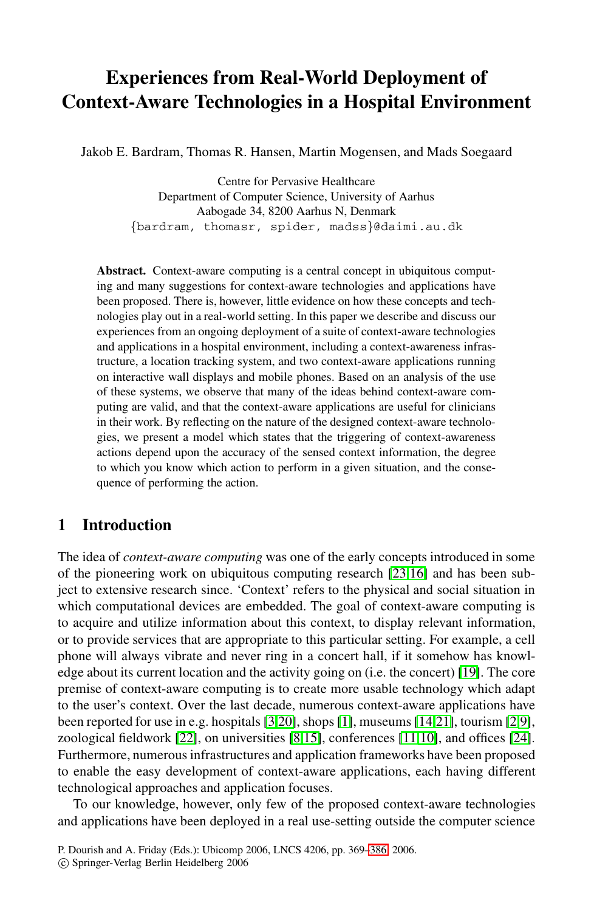# **Experiences from Real-World Deployment of Context-Aware Technologies in a Hospital Environment**

Jakob E. Bardram, Thomas R. Hansen, Martin Mogensen, and Mads Soegaard

Centre for Pervasive Healthcare Department of Computer Science, University of Aarhus Aabogade 34, 8200 Aarhus N, Denmark {bardram, thomasr, spider, madss}@daimi.au.dk

**Abstract.** Context-aware computing is a central concept in ubiquitous computing and many suggestions for context-aware technologies and applications have been proposed. There is, however, little evidence on how these concepts and technologies play out in a real-world setting. In this paper we describe and discuss our experiences from an ongoing deployment of a suite of context-aware technologies and applications in a hospital environment, including a context-awareness infrastructure, a location tracking system, and two context-aware applications running on interactive wall displays and mobile phones. Based on an analysis of the use of these systems, we observe that many of the ideas behind context-aware computing are valid, and that the context-aware applications are useful for clinicians in their work. By reflecting on the nature of the designed context-aware technologies, we present a model which states that the triggering of context-awareness actions depend upon the accuracy of the sensed context information, the degree to which you know which action to perform in a given situation, and the consequence of performing the action.

### **1 Introduction**

The idea of *context-aware computing* was one of the early concepts introduced in some of the pioneering work on ubiquitous computing research [\[23](#page-17-0)[,16\]](#page-17-1) and has been subject to extensive research since. 'Context' refers to the physical and social situation in which computational devices are embedded. The goal of context-aware computing is to acquire and utilize information about this context, to display relevant information, or to provide services that are appropriate to this particular setting. For example, a cell phone will always vibrate and never ring in a concert hall, if it somehow has knowledge about its current location and the activity going on (i.e. the concert) [\[19\]](#page-17-2). The core premise of context-aware computing is to create more usable technology which adapt to the user's context. Over the last decade, numerous context-aware applications have been reported for use in e.g. hospitals [\[3,](#page-16-0)[20\]](#page-17-3), shops [\[1\]](#page-16-1), museums [\[14](#page-16-2)[,21\]](#page-17-4), tourism [\[2](#page-16-3)[,9\]](#page-16-4), zoological fieldwork [\[22\]](#page-17-5), on universities [\[8](#page-16-5)[,15\]](#page-17-6), conferences [\[11](#page-16-6)[,10\]](#page-16-7), and offices [\[24\]](#page-17-7). Furthermore, numerous infrastructures and application frameworks have been proposed to enable the easy development of context-aware applications, each having different technological approaches and application focuses.

To our knowledge, however, only few of the proposed context-aware technologies and applications have been deployed in a real use-setting outside the computer science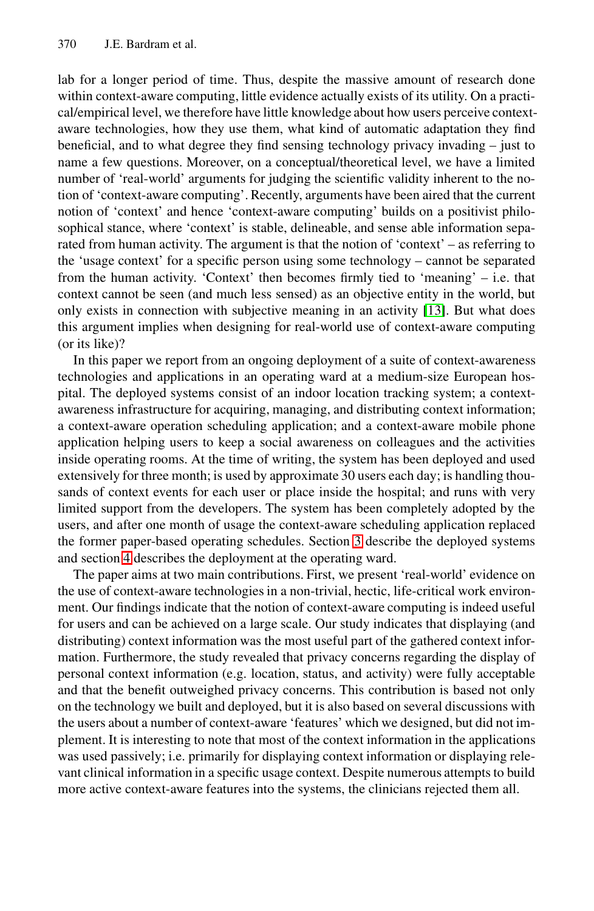lab for a longer period of time. Thus, despite the massive amount of research done within context-aware computing, little evidence actually exists of its utility. On a practical/empirical level, we therefore have little knowledge about how users perceive contextaware technologies, how they use them, what kind of automatic adaptation they find beneficial, and to what degree they find sensing technology privacy invading – just to name a few questions. Moreover, on a conceptual/theoretical level, we have a limited number of 'real-world' arguments for judging the scientific validity inherent to the notion of 'context-aware computing'. Recently, arguments have been aired that the current notion of 'context' and hence 'context-aware computing' builds on a positivist philosophical stance, where 'context' is stable, delineable, and sense able information separated from human activity. The argument is that the notion of 'context' – as referring to the 'usage context' for a specific person using some technology – cannot be separated from the human activity. 'Context' then becomes firmly tied to 'meaning' – i.e. that context cannot be seen (and much less sensed) as an objective entity in the world, but only exists in connection with subjective meaning in an activity [\[13\]](#page-16-9). But what does this argument implies when designing for real-world use of context-aware computing (or its like)?

In this paper we report from an ongoing deployment of a suite of context-awareness technologies and applications in an operating ward at a medium-size European hospital. The deployed systems consist of an indoor location tracking system; a contextawareness infrastructure for acquiring, managing, and distributing context information; a context-aware operation scheduling application; and a context-aware mobile phone application helping users to keep a social awareness on colleagues and the activities inside operating rooms. At the time of writing, the system has been deployed and used extensively for three month; is used by approximate 30 users each day; is handling thousands of context events for each user or place inside the hospital; and runs with very limited support from the developers. The system has been completely adopted by the users, and after one month of usage the context-aware scheduling application replaced the former paper-based operating schedules. Section [3](#page-3-0) describe the deployed systems and section [4](#page-6-0) describes the deployment at the operating ward.

The paper aims at two main contributions. First, we present 'real-world' evidence on the use of context-aware technologies in a non-trivial, hectic, life-critical work environment. Our findings indicate that the notion of context-aware computing is indeed useful for users and can be achieved on a large scale. Our study indicates that displaying (and distributing) context information was the most useful part of the gathered context information. Furthermore, the study revealed that privacy concerns regarding the display of personal context information (e.g. location, status, and activity) were fully acceptable and that the benefit outweighed privacy concerns. This contribution is based not only on the technology we built and deployed, but it is also based on several discussions with the users about a number of context-aware 'features' which we designed, but did not implement. It is interesting to note that most of the context information in the applications was used passively; i.e. primarily for displaying context information or displaying relevant clinical information in a specific usage context. Despite numerous attempts to build more active context-aware features into the systems, the clinicians rejected them all.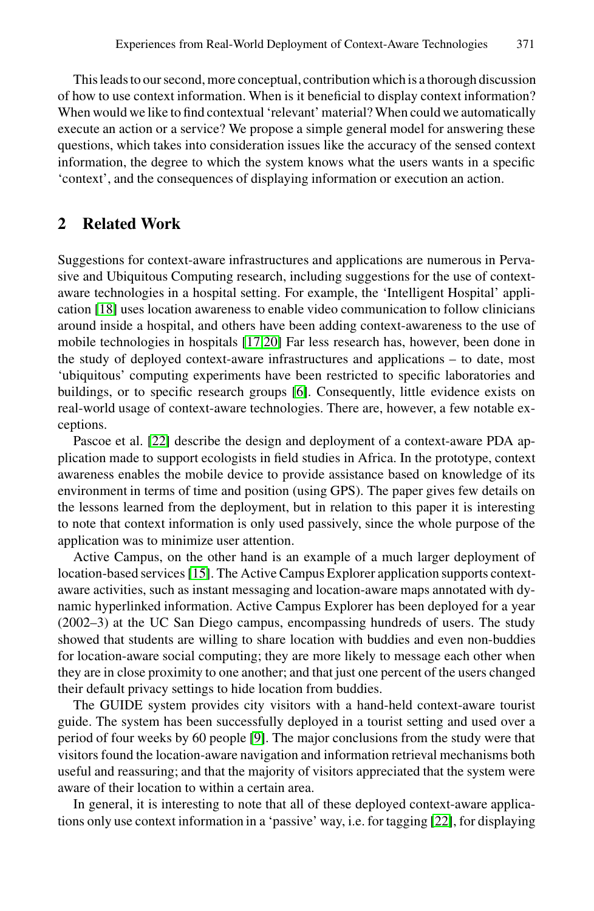This leads to our second, more conceptual, contribution which is a thorough discussion of how to use context information. When is it beneficial to display context information? When would we like to find contextual 'relevant' material? When could we automatically execute an action or a service? We propose a simple general model for answering these questions, which takes into consideration issues like the accuracy of the sensed context information, the degree to which the system knows what the users wants in a specific 'context', and the consequences of displaying information or execution an action.

### <span id="page-2-0"></span>**2 Related Work**

Suggestions for context-aware infrastructures and applications are numerous in Pervasive and Ubiquitous Computing research, including suggestions for the use of contextaware technologies in a hospital setting. For example, the 'Intelligent Hospital' application [\[18\]](#page-17-8) uses location awareness to enable video communication to follow clinicians around inside a hospital, and others have been adding context-awareness to the use of mobile technologies in hospitals [\[17,](#page-17-9)[20\]](#page-17-3) Far less research has, however, been done in the study of deployed context-aware infrastructures and applications – to date, most 'ubiquitous' computing experiments have been restricted to specific laboratories and buildings, or to specific research groups [\[6\]](#page-16-10). Consequently, little evidence exists on real-world usage of context-aware technologies. There are, however, a few notable exceptions.

Pascoe et al. [\[22\]](#page-17-5) describe the design and deployment of a context-aware PDA application made to support ecologists in field studies in Africa. In the prototype, context awareness enables the mobile device to provide assistance based on knowledge of its environment in terms of time and position (using GPS). The paper gives few details on the lessons learned from the deployment, but in relation to this paper it is interesting to note that context information is only used passively, since the whole purpose of the application was to minimize user attention.

Active Campus, on the other hand is an example of a much larger deployment of location-based services [\[15\]](#page-17-6). The Active Campus Explorer application supports contextaware activities, such as instant messaging and location-aware maps annotated with dynamic hyperlinked information. Active Campus Explorer has been deployed for a year (2002–3) at the UC San Diego campus, encompassing hundreds of users. The study showed that students are willing to share location with buddies and even non-buddies for location-aware social computing; they are more likely to message each other when they are in close proximity to one another; and that just one percent of the users changed their default privacy settings to hide location from buddies.

The GUIDE system provides city visitors with a hand-held context-aware tourist guide. The system has been successfully deployed in a tourist setting and used over a period of four weeks by 60 people [\[9\]](#page-16-4). The major conclusions from the study were that visitors found the location-aware navigation and information retrieval mechanisms both useful and reassuring; and that the majority of visitors appreciated that the system were aware of their location to within a certain area.

In general, it is interesting to note that all of these deployed context-aware applications only use context information in a 'passive' way, i.e. for tagging [\[22\]](#page-17-5), for displaying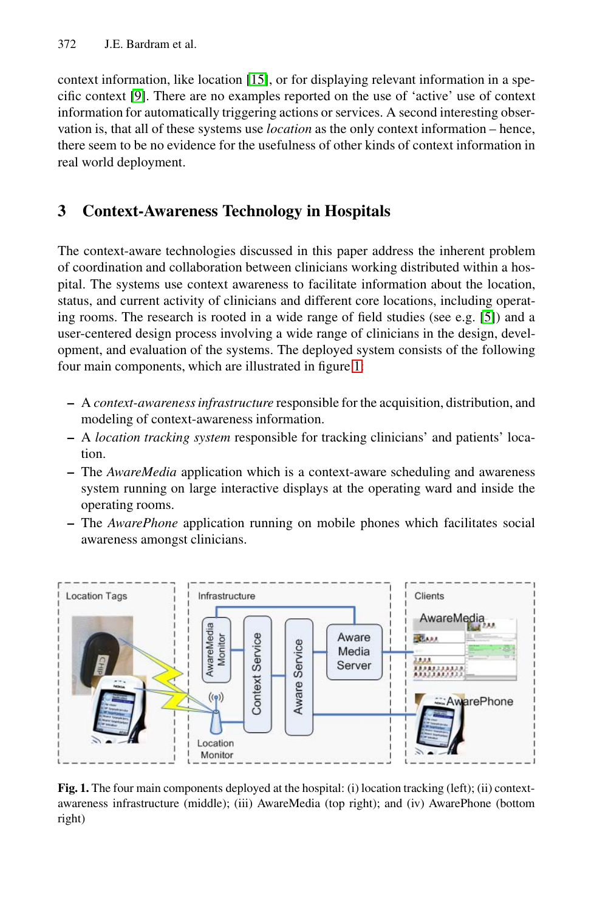context information, like location [\[15\]](#page-17-6), or for displaying relevant information in a specific context [\[9\]](#page-16-4). There are no examples reported on the use of 'active' use of context information for automatically triggering actions or services. A second interesting observation is, that all of these systems use *location* as the only context information – hence, there seem to be no evidence for the usefulness of other kinds of context information in real world deployment.

## <span id="page-3-0"></span>**3 Context-Awareness Technology in Hospitals**

The context-aware technologies discussed in this paper address the inherent problem of coordination and collaboration between clinicians working distributed within a hospital. The systems use context awareness to facilitate information about the location, status, and current activity of clinicians and different core locations, including operating rooms. The research is rooted in a wide range of field studies (see e.g. [\[5\]](#page-16-11)) and a user-centered design process involving a wide range of clinicians in the design, development, and evaluation of the systems. The deployed system consists of the following four main components, which are illustrated in figure [1:](#page-3-1)

- **–** A *context-awareness infrastructure* responsible for the acquisition, distribution, and modeling of context-awareness information.
- **–** A *location tracking system* responsible for tracking clinicians' and patients' location.
- **–** The *AwareMedia* application which is a context-aware scheduling and awareness system running on large interactive displays at the operating ward and inside the operating rooms.
- **–** The *AwarePhone* application running on mobile phones which facilitates social awareness amongst clinicians.



<span id="page-3-1"></span>**Fig. 1.** The four main components deployed at the hospital: (i) location tracking (left); (ii) contextawareness infrastructure (middle); (iii) AwareMedia (top right); and (iv) AwarePhone (bottom right)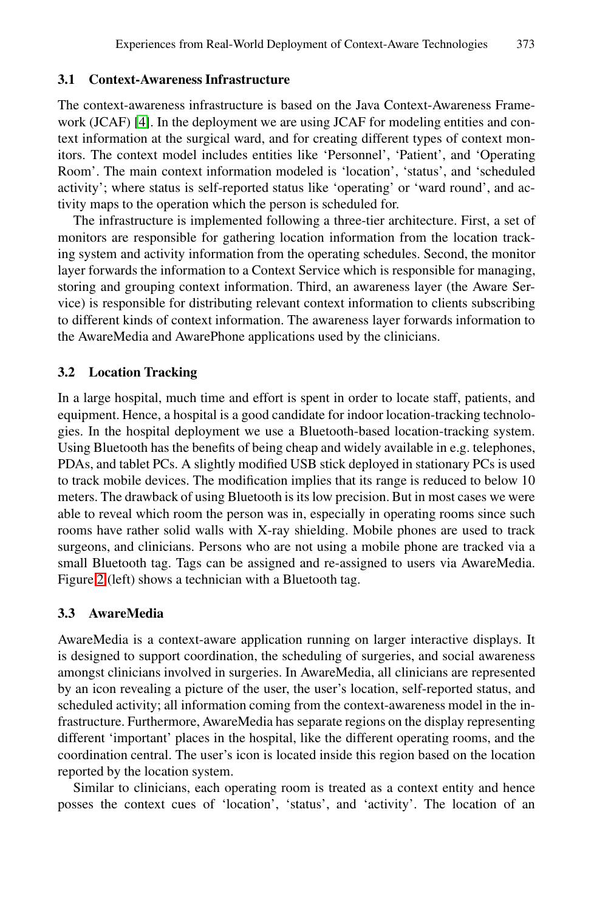#### **3.1 Context-Awareness Infrastructure**

The context-awareness infrastructure is based on the Java Context-Awareness Framework (JCAF) [\[4\]](#page-16-12). In the deployment we are using JCAF for modeling entities and context information at the surgical ward, and for creating different types of context monitors. The context model includes entities like 'Personnel', 'Patient', and 'Operating Room'. The main context information modeled is 'location', 'status', and 'scheduled activity'; where status is self-reported status like 'operating' or 'ward round', and activity maps to the operation which the person is scheduled for.

The infrastructure is implemented following a three-tier architecture. First, a set of monitors are responsible for gathering location information from the location tracking system and activity information from the operating schedules. Second, the monitor layer forwards the information to a Context Service which is responsible for managing, storing and grouping context information. Third, an awareness layer (the Aware Service) is responsible for distributing relevant context information to clients subscribing to different kinds of context information. The awareness layer forwards information to the AwareMedia and AwarePhone applications used by the clinicians.

#### **3.2 Location Tracking**

In a large hospital, much time and effort is spent in order to locate staff, patients, and equipment. Hence, a hospital is a good candidate for indoor location-tracking technologies. In the hospital deployment we use a Bluetooth-based location-tracking system. Using Bluetooth has the benefits of being cheap and widely available in e.g. telephones, PDAs, and tablet PCs. A slightly modified USB stick deployed in stationary PCs is used to track mobile devices. The modification implies that its range is reduced to below 10 meters. The drawback of using Bluetooth is its low precision. But in most cases we were able to reveal which room the person was in, especially in operating rooms since such rooms have rather solid walls with X-ray shielding. Mobile phones are used to track surgeons, and clinicians. Persons who are not using a mobile phone are tracked via a small Bluetooth tag. Tags can be assigned and re-assigned to users via AwareMedia. Figure [2](#page-5-0) (left) shows a technician with a Bluetooth tag.

#### **3.3 AwareMedia**

AwareMedia is a context-aware application running on larger interactive displays. It is designed to support coordination, the scheduling of surgeries, and social awareness amongst clinicians involved in surgeries. In AwareMedia, all clinicians are represented by an icon revealing a picture of the user, the user's location, self-reported status, and scheduled activity; all information coming from the context-awareness model in the infrastructure. Furthermore, AwareMedia has separate regions on the display representing different 'important' places in the hospital, like the different operating rooms, and the coordination central. The user's icon is located inside this region based on the location reported by the location system.

Similar to clinicians, each operating room is treated as a context entity and hence posses the context cues of 'location', 'status', and 'activity'. The location of an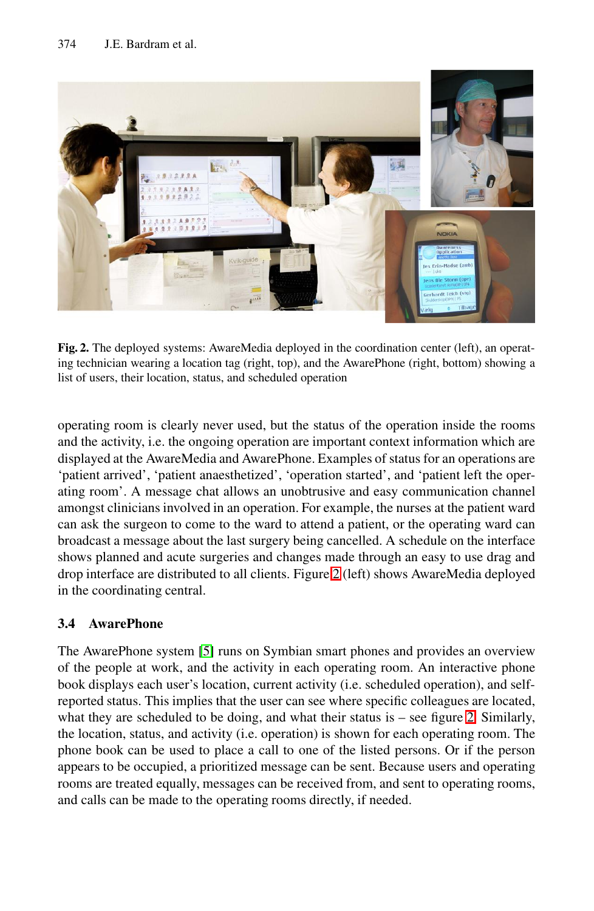

**Fig. 2.** The deployed systems: AwareMedia deployed in the coordination center (left), an operating technician wearing a location tag (right, top), and the AwarePhone (right, bottom) showing a list of users, their location, status, and scheduled operation

<span id="page-5-0"></span>operating room is clearly never used, but the status of the operation inside the rooms and the activity, i.e. the ongoing operation are important context information which are displayed at the AwareMedia and AwarePhone. Examples of status for an operations are 'patient arrived', 'patient anaesthetized', 'operation started', and 'patient left the operating room'. A message chat allows an unobtrusive and easy communication channel amongst clinicians involved in an operation. For example, the nurses at the patient ward can ask the surgeon to come to the ward to attend a patient, or the operating ward can broadcast a message about the last surgery being cancelled. A schedule on the interface shows planned and acute surgeries and changes made through an easy to use drag and drop interface are distributed to all clients. Figure [2](#page-5-0) (left) shows AwareMedia deployed in the coordinating central.

### **3.4 AwarePhone**

The AwarePhone system [\[5\]](#page-16-11) runs on Symbian smart phones and provides an overview of the people at work, and the activity in each operating room. An interactive phone book displays each user's location, current activity (i.e. scheduled operation), and selfreported status. This implies that the user can see where specific colleagues are located, what they are scheduled to be doing, and what their status is – see figure [2.](#page-5-0) Similarly, the location, status, and activity (i.e. operation) is shown for each operating room. The phone book can be used to place a call to one of the listed persons. Or if the person appears to be occupied, a prioritized message can be sent. Because users and operating rooms are treated equally, messages can be received from, and sent to operating rooms, and calls can be made to the operating rooms directly, if needed.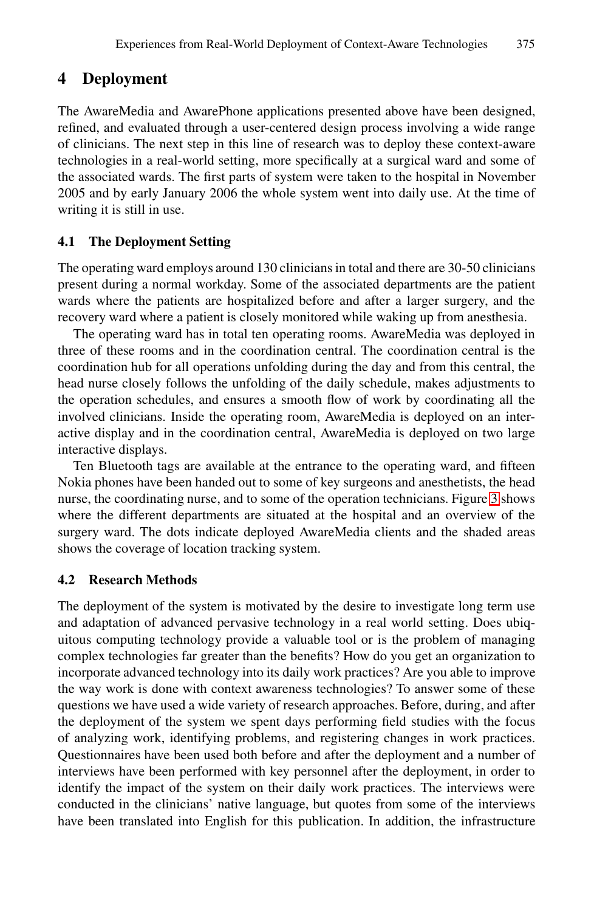### <span id="page-6-0"></span>**4 Deployment**

The AwareMedia and AwarePhone applications presented above have been designed, refined, and evaluated through a user-centered design process involving a wide range of clinicians. The next step in this line of research was to deploy these context-aware technologies in a real-world setting, more specifically at a surgical ward and some of the associated wards. The first parts of system were taken to the hospital in November 2005 and by early January 2006 the whole system went into daily use. At the time of writing it is still in use.

#### **4.1 The Deployment Setting**

The operating ward employs around 130 clinicians in total and there are 30-50 clinicians present during a normal workday. Some of the associated departments are the patient wards where the patients are hospitalized before and after a larger surgery, and the recovery ward where a patient is closely monitored while waking up from anesthesia.

The operating ward has in total ten operating rooms. AwareMedia was deployed in three of these rooms and in the coordination central. The coordination central is the coordination hub for all operations unfolding during the day and from this central, the head nurse closely follows the unfolding of the daily schedule, makes adjustments to the operation schedules, and ensures a smooth flow of work by coordinating all the involved clinicians. Inside the operating room, AwareMedia is deployed on an interactive display and in the coordination central, AwareMedia is deployed on two large interactive displays.

Ten Bluetooth tags are available at the entrance to the operating ward, and fifteen Nokia phones have been handed out to some of key surgeons and anesthetists, the head nurse, the coordinating nurse, and to some of the operation technicians. Figure [3](#page-7-0) shows where the different departments are situated at the hospital and an overview of the surgery ward. The dots indicate deployed AwareMedia clients and the shaded areas shows the coverage of location tracking system.

#### **4.2 Research Methods**

The deployment of the system is motivated by the desire to investigate long term use and adaptation of advanced pervasive technology in a real world setting. Does ubiquitous computing technology provide a valuable tool or is the problem of managing complex technologies far greater than the benefits? How do you get an organization to incorporate advanced technology into its daily work practices? Are you able to improve the way work is done with context awareness technologies? To answer some of these questions we have used a wide variety of research approaches. Before, during, and after the deployment of the system we spent days performing field studies with the focus of analyzing work, identifying problems, and registering changes in work practices. Questionnaires have been used both before and after the deployment and a number of interviews have been performed with key personnel after the deployment, in order to identify the impact of the system on their daily work practices. The interviews were conducted in the clinicians' native language, but quotes from some of the interviews have been translated into English for this publication. In addition, the infrastructure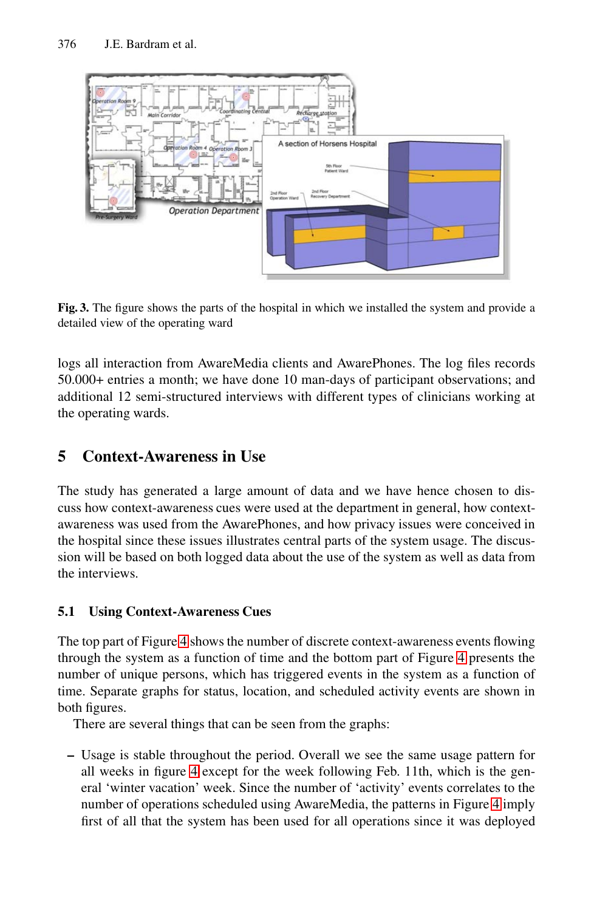

<span id="page-7-0"></span>**Fig. 3.** The figure shows the parts of the hospital in which we installed the system and provide a detailed view of the operating ward

logs all interaction from AwareMedia clients and AwarePhones. The log files records 50.000+ entries a month; we have done 10 man-days of participant observations; and additional 12 semi-structured interviews with different types of clinicians working at the operating wards.

## **5 Context-Awareness in Use**

The study has generated a large amount of data and we have hence chosen to discuss how context-awareness cues were used at the department in general, how contextawareness was used from the AwarePhones, and how privacy issues were conceived in the hospital since these issues illustrates central parts of the system usage. The discussion will be based on both logged data about the use of the system as well as data from the interviews.

### **5.1 Using Context-Awareness Cues**

The top part of Figure [4](#page-8-0) shows the number of discrete context-awareness events flowing through the system as a function of time and the bottom part of Figure [4](#page-8-0) presents the number of unique persons, which has triggered events in the system as a function of time. Separate graphs for status, location, and scheduled activity events are shown in both figures.

There are several things that can be seen from the graphs:

**–** Usage is stable throughout the period. Overall we see the same usage pattern for all weeks in figure [4](#page-8-0) except for the week following Feb. 11th, which is the general 'winter vacation' week. Since the number of 'activity' events correlates to the number of operations scheduled using AwareMedia, the patterns in Figure [4](#page-8-0) imply first of all that the system has been used for all operations since it was deployed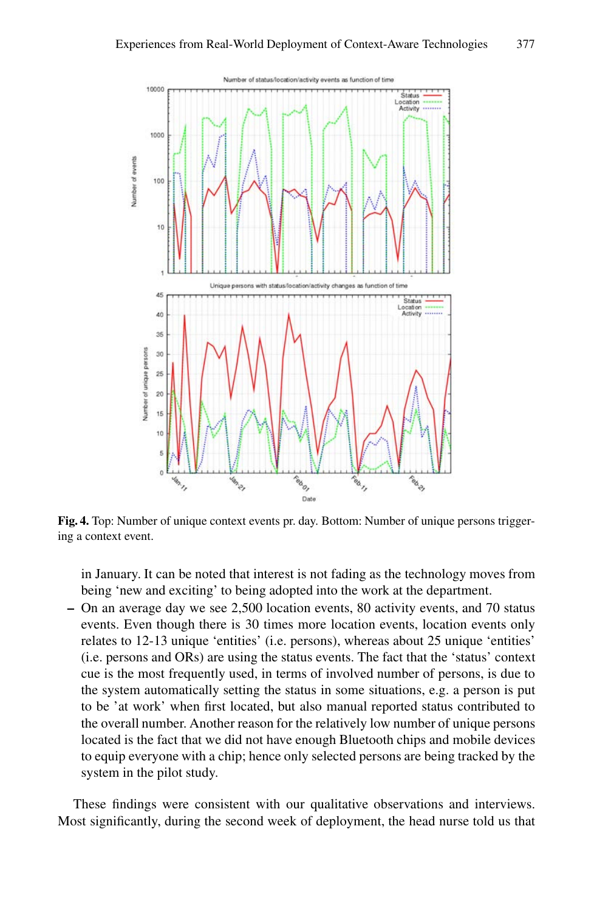

<span id="page-8-0"></span>**Fig. 4.** Top: Number of unique context events pr. day. Bottom: Number of unique persons triggering a context event.

in January. It can be noted that interest is not fading as the technology moves from being 'new and exciting' to being adopted into the work at the department.

**–** On an average day we see 2,500 location events, 80 activity events, and 70 status events. Even though there is 30 times more location events, location events only relates to 12-13 unique 'entities' (i.e. persons), whereas about 25 unique 'entities' (i.e. persons and ORs) are using the status events. The fact that the 'status' context cue is the most frequently used, in terms of involved number of persons, is due to the system automatically setting the status in some situations, e.g. a person is put to be 'at work' when first located, but also manual reported status contributed to the overall number. Another reason for the relatively low number of unique persons located is the fact that we did not have enough Bluetooth chips and mobile devices to equip everyone with a chip; hence only selected persons are being tracked by the system in the pilot study.

These findings were consistent with our qualitative observations and interviews. Most significantly, during the second week of deployment, the head nurse told us that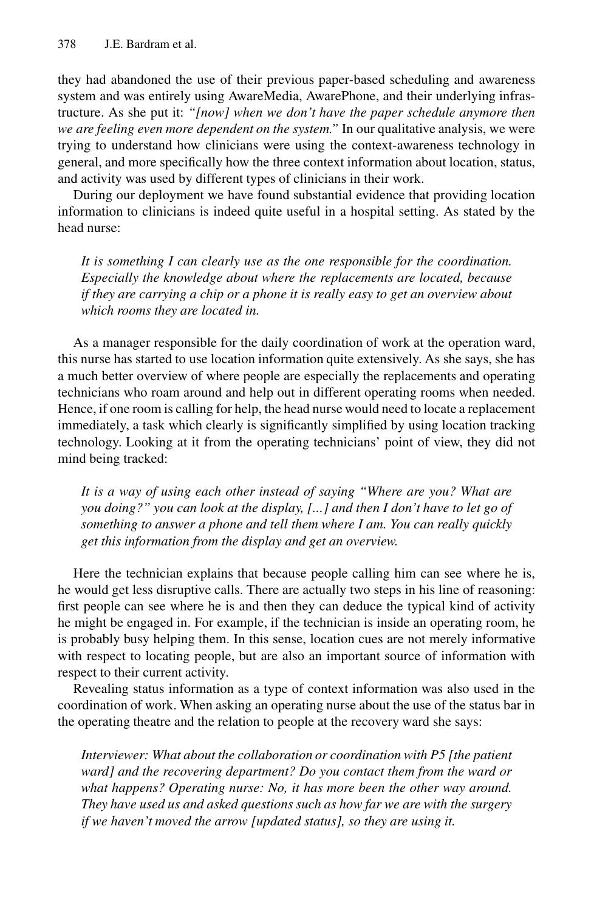they had abandoned the use of their previous paper-based scheduling and awareness system and was entirely using AwareMedia, AwarePhone, and their underlying infrastructure. As she put it: *"[now] when we don't have the paper schedule anymore then we are feeling even more dependent on the system."* In our qualitative analysis, we were trying to understand how clinicians were using the context-awareness technology in general, and more specifically how the three context information about location, status, and activity was used by different types of clinicians in their work.

During our deployment we have found substantial evidence that providing location information to clinicians is indeed quite useful in a hospital setting. As stated by the head nurse:

*It is something I can clearly use as the one responsible for the coordination. Especially the knowledge about where the replacements are located, because if they are carrying a chip or a phone it is really easy to get an overview about which rooms they are located in.*

As a manager responsible for the daily coordination of work at the operation ward, this nurse has started to use location information quite extensively. As she says, she has a much better overview of where people are especially the replacements and operating technicians who roam around and help out in different operating rooms when needed. Hence, if one room is calling for help, the head nurse would need to locate a replacement immediately, a task which clearly is significantly simplified by using location tracking technology. Looking at it from the operating technicians' point of view, they did not mind being tracked:

*It is a way of using each other instead of saying "Where are you? What are you doing?" you can look at the display, [...] and then I don't have to let go of something to answer a phone and tell them where I am. You can really quickly get this information from the display and get an overview.*

Here the technician explains that because people calling him can see where he is, he would get less disruptive calls. There are actually two steps in his line of reasoning: first people can see where he is and then they can deduce the typical kind of activity he might be engaged in. For example, if the technician is inside an operating room, he is probably busy helping them. In this sense, location cues are not merely informative with respect to locating people, but are also an important source of information with respect to their current activity.

Revealing status information as a type of context information was also used in the coordination of work. When asking an operating nurse about the use of the status bar in the operating theatre and the relation to people at the recovery ward she says:

*Interviewer: What about the collaboration or coordination with P5 [the patient ward] and the recovering department? Do you contact them from the ward or what happens? Operating nurse: No, it has more been the other way around. They have used us and asked questions such as how far we are with the surgery if we haven't moved the arrow [updated status], so they are using it.*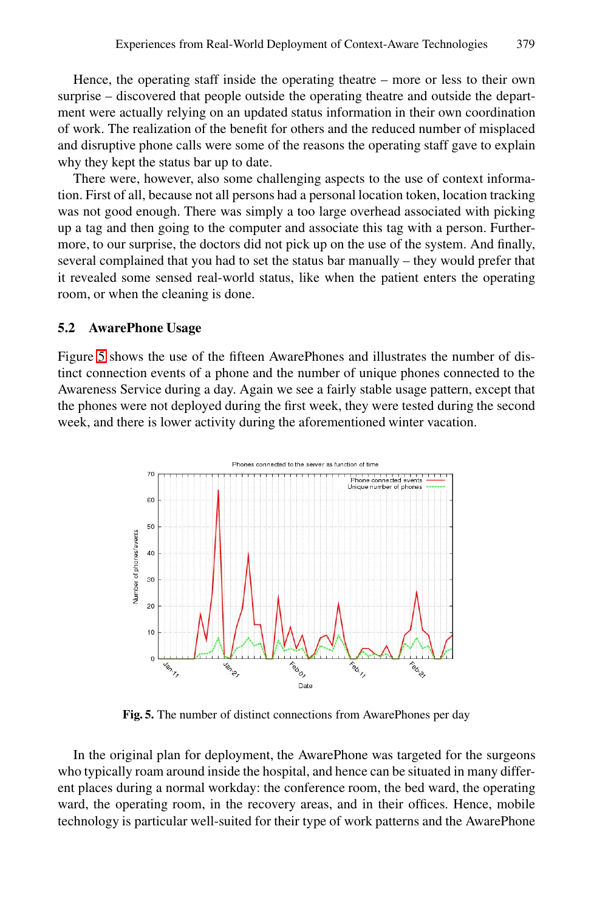Hence, the operating staff inside the operating theatre – more or less to their own surprise – discovered that people outside the operating theatre and outside the department were actually relying on an updated status information in their own coordination of work. The realization of the benefit for others and the reduced number of misplaced and disruptive phone calls were some of the reasons the operating staff gave to explain why they kept the status bar up to date.

There were, however, also some challenging aspects to the use of context information. First of all, because not all persons had a personal location token, location tracking was not good enough. There was simply a too large overhead associated with picking up a tag and then going to the computer and associate this tag with a person. Furthermore, to our surprise, the doctors did not pick up on the use of the system. And finally, several complained that you had to set the status bar manually – they would prefer that it revealed some sensed real-world status, like when the patient enters the operating room, or when the cleaning is done.

#### **5.2 AwarePhone Usage**

Figure [5](#page-10-0) shows the use of the fifteen AwarePhones and illustrates the number of distinct connection events of a phone and the number of unique phones connected to the Awareness Service during a day. Again we see a fairly stable usage pattern, except that the phones were not deployed during the first week, they were tested during the second week, and there is lower activity during the aforementioned winter vacation.



**Fig. 5.** The number of distinct connections from AwarePhones per day

<span id="page-10-0"></span>In the original plan for deployment, the AwarePhone was targeted for the surgeons who typically roam around inside the hospital, and hence can be situated in many different places during a normal workday: the conference room, the bed ward, the operating ward, the operating room, in the recovery areas, and in their offices. Hence, mobile technology is particular well-suited for their type of work patterns and the AwarePhone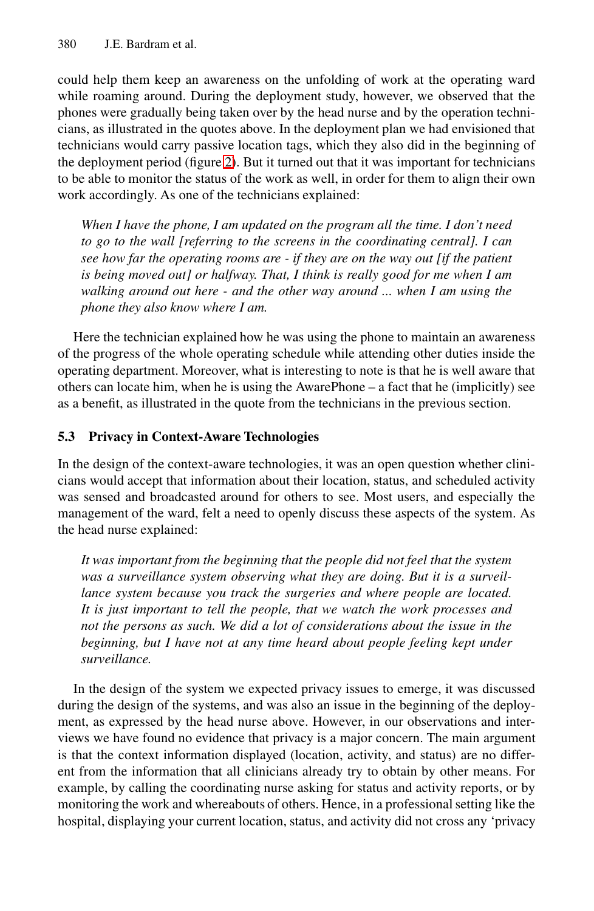could help them keep an awareness on the unfolding of work at the operating ward while roaming around. During the deployment study, however, we observed that the phones were gradually being taken over by the head nurse and by the operation technicians, as illustrated in the quotes above. In the deployment plan we had envisioned that technicians would carry passive location tags, which they also did in the beginning of the deployment period (figure [2\)](#page-5-0). But it turned out that it was important for technicians to be able to monitor the status of the work as well, in order for them to align their own work accordingly. As one of the technicians explained:

*When I have the phone, I am updated on the program all the time. I don't need to go to the wall [referring to the screens in the coordinating central]. I can see how far the operating rooms are - if they are on the way out [if the patient is being moved out] or halfway. That, I think is really good for me when I am walking around out here - and the other way around ... when I am using the phone they also know where I am.*

Here the technician explained how he was using the phone to maintain an awareness of the progress of the whole operating schedule while attending other duties inside the operating department. Moreover, what is interesting to note is that he is well aware that others can locate him, when he is using the AwarePhone – a fact that he (implicitly) see as a benefit, as illustrated in the quote from the technicians in the previous section.

### **5.3 Privacy in Context-Aware Technologies**

In the design of the context-aware technologies, it was an open question whether clinicians would accept that information about their location, status, and scheduled activity was sensed and broadcasted around for others to see. Most users, and especially the management of the ward, felt a need to openly discuss these aspects of the system. As the head nurse explained:

*It was important from the beginning that the people did not feel that the system was a surveillance system observing what they are doing. But it is a surveillance system because you track the surgeries and where people are located. It is just important to tell the people, that we watch the work processes and not the persons as such. We did a lot of considerations about the issue in the beginning, but I have not at any time heard about people feeling kept under surveillance.*

In the design of the system we expected privacy issues to emerge, it was discussed during the design of the systems, and was also an issue in the beginning of the deployment, as expressed by the head nurse above. However, in our observations and interviews we have found no evidence that privacy is a major concern. The main argument is that the context information displayed (location, activity, and status) are no different from the information that all clinicians already try to obtain by other means. For example, by calling the coordinating nurse asking for status and activity reports, or by monitoring the work and whereabouts of others. Hence, in a professional setting like the hospital, displaying your current location, status, and activity did not cross any 'privacy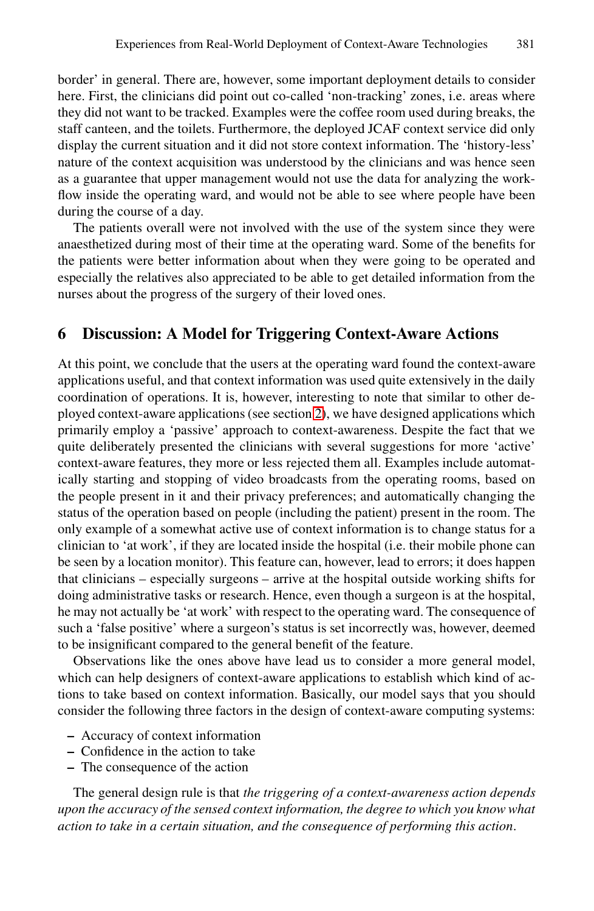border' in general. There are, however, some important deployment details to consider here. First, the clinicians did point out co-called 'non-tracking' zones, i.e. areas where they did not want to be tracked. Examples were the coffee room used during breaks, the staff canteen, and the toilets. Furthermore, the deployed JCAF context service did only display the current situation and it did not store context information. The 'history-less' nature of the context acquisition was understood by the clinicians and was hence seen as a guarantee that upper management would not use the data for analyzing the workflow inside the operating ward, and would not be able to see where people have been during the course of a day.

The patients overall were not involved with the use of the system since they were anaesthetized during most of their time at the operating ward. Some of the benefits for the patients were better information about when they were going to be operated and especially the relatives also appreciated to be able to get detailed information from the nurses about the progress of the surgery of their loved ones.

### **6 Discussion: A Model for Triggering Context-Aware Actions**

At this point, we conclude that the users at the operating ward found the context-aware applications useful, and that context information was used quite extensively in the daily coordination of operations. It is, however, interesting to note that similar to other deployed context-aware applications (see section [2\)](#page-2-0), we have designed applications which primarily employ a 'passive' approach to context-awareness. Despite the fact that we quite deliberately presented the clinicians with several suggestions for more 'active' context-aware features, they more or less rejected them all. Examples include automatically starting and stopping of video broadcasts from the operating rooms, based on the people present in it and their privacy preferences; and automatically changing the status of the operation based on people (including the patient) present in the room. The only example of a somewhat active use of context information is to change status for a clinician to 'at work', if they are located inside the hospital (i.e. their mobile phone can be seen by a location monitor). This feature can, however, lead to errors; it does happen that clinicians – especially surgeons – arrive at the hospital outside working shifts for doing administrative tasks or research. Hence, even though a surgeon is at the hospital, he may not actually be 'at work' with respect to the operating ward. The consequence of such a 'false positive' where a surgeon's status is set incorrectly was, however, deemed to be insignificant compared to the general benefit of the feature.

Observations like the ones above have lead us to consider a more general model, which can help designers of context-aware applications to establish which kind of actions to take based on context information. Basically, our model says that you should consider the following three factors in the design of context-aware computing systems:

- **–** Accuracy of context information
- **–** Confidence in the action to take
- **–** The consequence of the action

The general design rule is that *the triggering of a context-awareness action depends upon the accuracy of the sensed context information, the degree to which you know what action to take in a certain situation, and the consequence of performing this action*.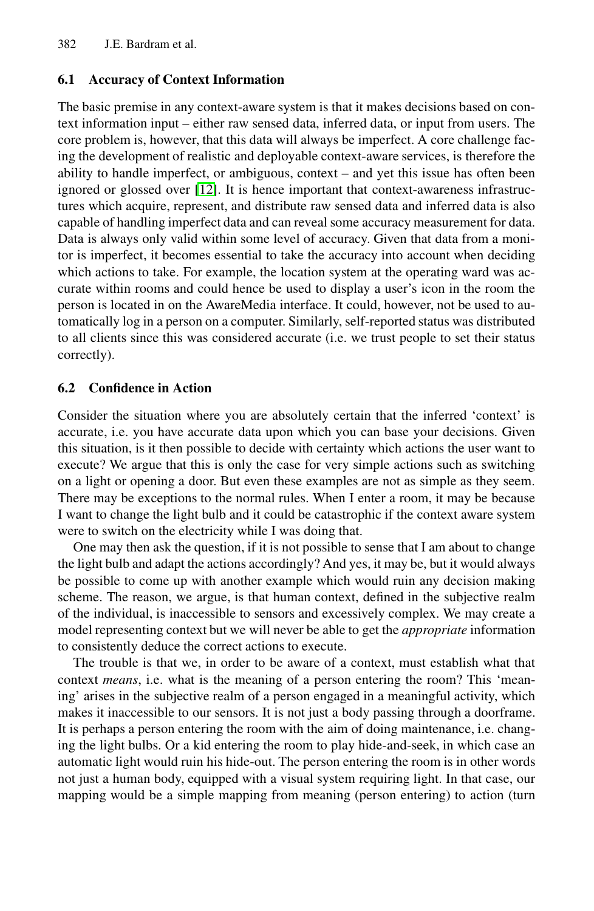#### **6.1 Accuracy of Context Information**

The basic premise in any context-aware system is that it makes decisions based on context information input – either raw sensed data, inferred data, or input from users. The core problem is, however, that this data will always be imperfect. A core challenge facing the development of realistic and deployable context-aware services, is therefore the ability to handle imperfect, or ambiguous, context – and yet this issue has often been ignored or glossed over [\[12\]](#page-16-13). It is hence important that context-awareness infrastructures which acquire, represent, and distribute raw sensed data and inferred data is also capable of handling imperfect data and can reveal some accuracy measurement for data. Data is always only valid within some level of accuracy. Given that data from a monitor is imperfect, it becomes essential to take the accuracy into account when deciding which actions to take. For example, the location system at the operating ward was accurate within rooms and could hence be used to display a user's icon in the room the person is located in on the AwareMedia interface. It could, however, not be used to automatically log in a person on a computer. Similarly, self-reported status was distributed to all clients since this was considered accurate (i.e. we trust people to set their status correctly).

#### **6.2 Confidence in Action**

Consider the situation where you are absolutely certain that the inferred 'context' is accurate, i.e. you have accurate data upon which you can base your decisions. Given this situation, is it then possible to decide with certainty which actions the user want to execute? We argue that this is only the case for very simple actions such as switching on a light or opening a door. But even these examples are not as simple as they seem. There may be exceptions to the normal rules. When I enter a room, it may be because I want to change the light bulb and it could be catastrophic if the context aware system were to switch on the electricity while I was doing that.

One may then ask the question, if it is not possible to sense that I am about to change the light bulb and adapt the actions accordingly? And yes, it may be, but it would always be possible to come up with another example which would ruin any decision making scheme. The reason, we argue, is that human context, defined in the subjective realm of the individual, is inaccessible to sensors and excessively complex. We may create a model representing context but we will never be able to get the *appropriate* information to consistently deduce the correct actions to execute.

The trouble is that we, in order to be aware of a context, must establish what that context *means*, i.e. what is the meaning of a person entering the room? This 'meaning' arises in the subjective realm of a person engaged in a meaningful activity, which makes it inaccessible to our sensors. It is not just a body passing through a doorframe. It is perhaps a person entering the room with the aim of doing maintenance, i.e. changing the light bulbs. Or a kid entering the room to play hide-and-seek, in which case an automatic light would ruin his hide-out. The person entering the room is in other words not just a human body, equipped with a visual system requiring light. In that case, our mapping would be a simple mapping from meaning (person entering) to action (turn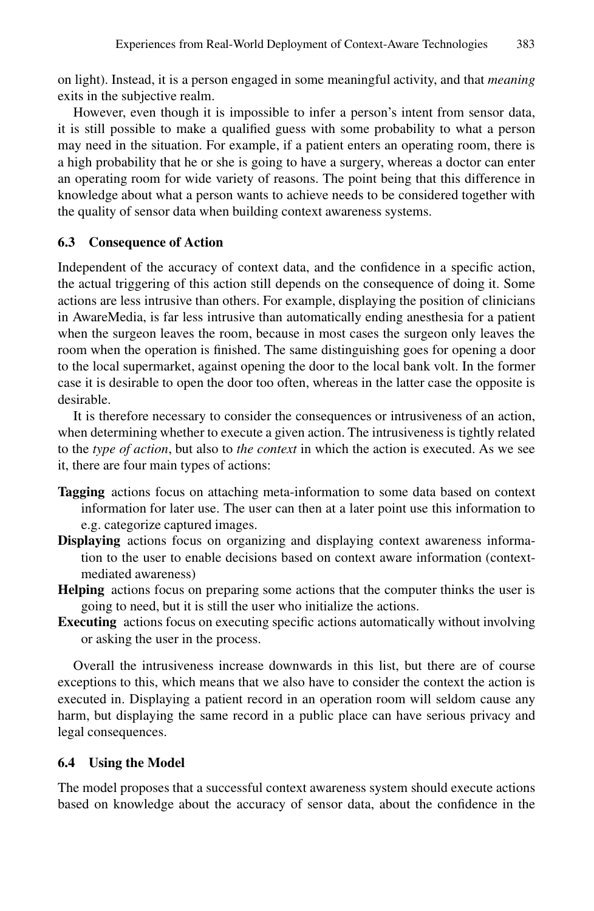on light). Instead, it is a person engaged in some meaningful activity, and that *meaning* exits in the subjective realm.

However, even though it is impossible to infer a person's intent from sensor data, it is still possible to make a qualified guess with some probability to what a person may need in the situation. For example, if a patient enters an operating room, there is a high probability that he or she is going to have a surgery, whereas a doctor can enter an operating room for wide variety of reasons. The point being that this difference in knowledge about what a person wants to achieve needs to be considered together with the quality of sensor data when building context awareness systems.

#### **6.3 Consequence of Action**

Independent of the accuracy of context data, and the confidence in a specific action, the actual triggering of this action still depends on the consequence of doing it. Some actions are less intrusive than others. For example, displaying the position of clinicians in AwareMedia, is far less intrusive than automatically ending anesthesia for a patient when the surgeon leaves the room, because in most cases the surgeon only leaves the room when the operation is finished. The same distinguishing goes for opening a door to the local supermarket, against opening the door to the local bank volt. In the former case it is desirable to open the door too often, whereas in the latter case the opposite is desirable.

It is therefore necessary to consider the consequences or intrusiveness of an action, when determining whether to execute a given action. The intrusiveness is tightly related to the *type of action*, but also to *the context* in which the action is executed. As we see it, there are four main types of actions:

- **Tagging** actions focus on attaching meta-information to some data based on context information for later use. The user can then at a later point use this information to e.g. categorize captured images.
- **Displaying** actions focus on organizing and displaying context awareness information to the user to enable decisions based on context aware information (contextmediated awareness)
- **Helping** actions focus on preparing some actions that the computer thinks the user is going to need, but it is still the user who initialize the actions.
- **Executing** actions focus on executing specific actions automatically without involving or asking the user in the process.

Overall the intrusiveness increase downwards in this list, but there are of course exceptions to this, which means that we also have to consider the context the action is executed in. Displaying a patient record in an operation room will seldom cause any harm, but displaying the same record in a public place can have serious privacy and legal consequences.

#### **6.4 Using the Model**

The model proposes that a successful context awareness system should execute actions based on knowledge about the accuracy of sensor data, about the confidence in the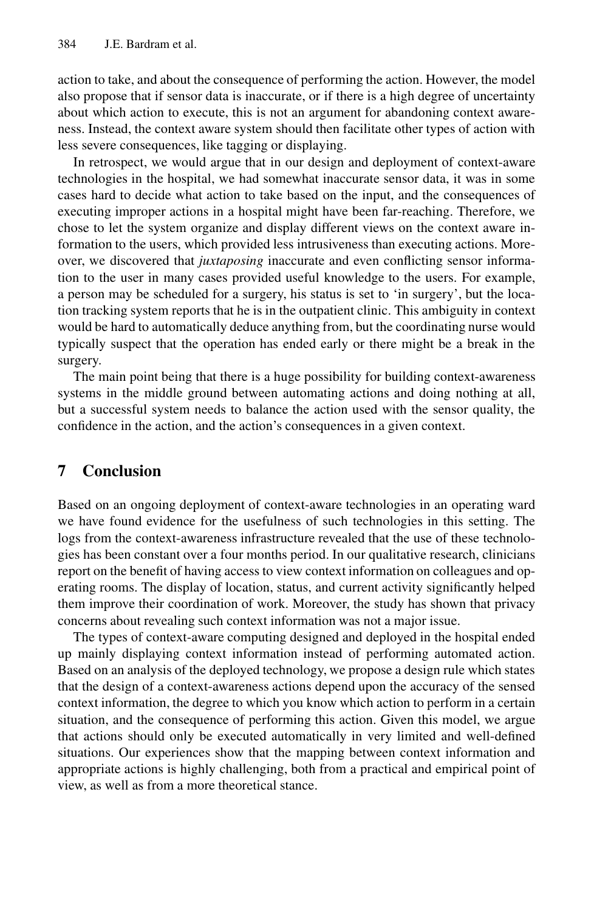action to take, and about the consequence of performing the action. However, the model also propose that if sensor data is inaccurate, or if there is a high degree of uncertainty about which action to execute, this is not an argument for abandoning context awareness. Instead, the context aware system should then facilitate other types of action with less severe consequences, like tagging or displaying.

In retrospect, we would argue that in our design and deployment of context-aware technologies in the hospital, we had somewhat inaccurate sensor data, it was in some cases hard to decide what action to take based on the input, and the consequences of executing improper actions in a hospital might have been far-reaching. Therefore, we chose to let the system organize and display different views on the context aware information to the users, which provided less intrusiveness than executing actions. Moreover, we discovered that *juxtaposing* inaccurate and even conflicting sensor information to the user in many cases provided useful knowledge to the users. For example, a person may be scheduled for a surgery, his status is set to 'in surgery', but the location tracking system reports that he is in the outpatient clinic. This ambiguity in context would be hard to automatically deduce anything from, but the coordinating nurse would typically suspect that the operation has ended early or there might be a break in the surgery.

The main point being that there is a huge possibility for building context-awareness systems in the middle ground between automating actions and doing nothing at all, but a successful system needs to balance the action used with the sensor quality, the confidence in the action, and the action's consequences in a given context.

### **7 Conclusion**

Based on an ongoing deployment of context-aware technologies in an operating ward we have found evidence for the usefulness of such technologies in this setting. The logs from the context-awareness infrastructure revealed that the use of these technologies has been constant over a four months period. In our qualitative research, clinicians report on the benefit of having access to view context information on colleagues and operating rooms. The display of location, status, and current activity significantly helped them improve their coordination of work. Moreover, the study has shown that privacy concerns about revealing such context information was not a major issue.

The types of context-aware computing designed and deployed in the hospital ended up mainly displaying context information instead of performing automated action. Based on an analysis of the deployed technology, we propose a design rule which states that the design of a context-awareness actions depend upon the accuracy of the sensed context information, the degree to which you know which action to perform in a certain situation, and the consequence of performing this action. Given this model, we argue that actions should only be executed automatically in very limited and well-defined situations. Our experiences show that the mapping between context information and appropriate actions is highly challenging, both from a practical and empirical point of view, as well as from a more theoretical stance.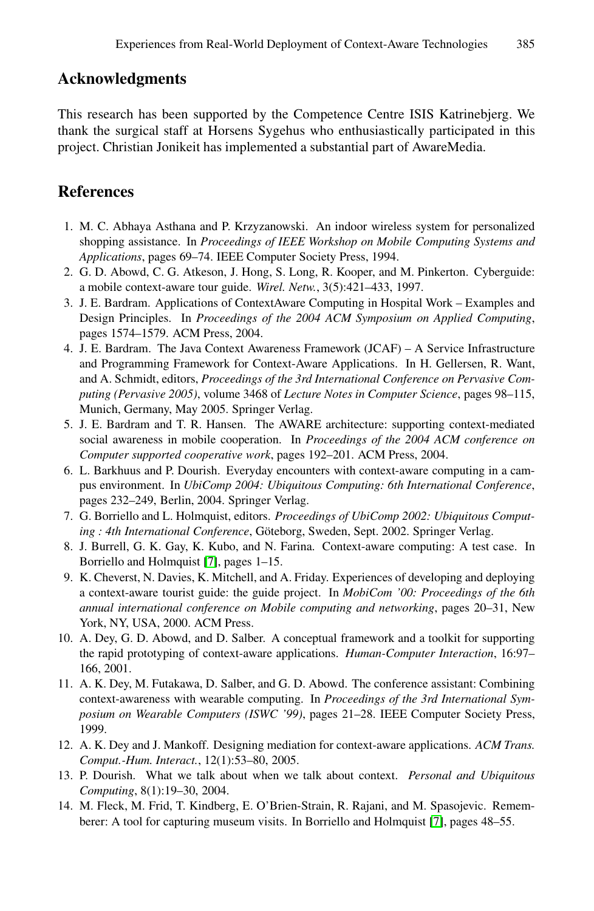### **Acknowledgments**

This research has been supported by the Competence Centre ISIS Katrinebjerg. We thank the surgical staff at Horsens Sygehus who enthusiastically participated in this project. Christian Jonikeit has implemented a substantial part of AwareMedia.

### <span id="page-16-8"></span><span id="page-16-1"></span>**References**

- 1. M. C. Abhaya Asthana and P. Krzyzanowski. An indoor wireless system for personalized shopping assistance. In *Proceedings of IEEE Workshop on Mobile Computing Systems and Applications*, pages 69–74. IEEE Computer Society Press, 1994.
- <span id="page-16-3"></span>2. G. D. Abowd, C. G. Atkeson, J. Hong, S. Long, R. Kooper, and M. Pinkerton. Cyberguide: a mobile context-aware tour guide. *Wirel. Netw.*, 3(5):421–433, 1997.
- <span id="page-16-0"></span>3. J. E. Bardram. Applications of ContextAware Computing in Hospital Work – Examples and Design Principles. In *Proceedings of the 2004 ACM Symposium on Applied Computing*, pages 1574–1579. ACM Press, 2004.
- <span id="page-16-12"></span>4. J. E. Bardram. The Java Context Awareness Framework (JCAF) – A Service Infrastructure and Programming Framework for Context-Aware Applications. In H. Gellersen, R. Want, and A. Schmidt, editors, *Proceedings of the 3rd International Conference on Pervasive Computing (Pervasive 2005)*, volume 3468 of *Lecture Notes in Computer Science*, pages 98–115, Munich, Germany, May 2005. Springer Verlag.
- <span id="page-16-11"></span>5. J. E. Bardram and T. R. Hansen. The AWARE architecture: supporting context-mediated social awareness in mobile cooperation. In *Proceedings of the 2004 ACM conference on Computer supported cooperative work*, pages 192–201. ACM Press, 2004.
- <span id="page-16-10"></span>6. L. Barkhuus and P. Dourish. Everyday encounters with context-aware computing in a campus environment. In *UbiComp 2004: Ubiquitous Computing: 6th International Conference*, pages 232–249, Berlin, 2004. Springer Verlag.
- <span id="page-16-14"></span>7. G. Borriello and L. Holmquist, editors. *Proceedings of UbiComp 2002: Ubiquitous Comput*ing : 4th International Conference, Göteborg, Sweden, Sept. 2002. Springer Verlag.
- <span id="page-16-5"></span>8. J. Burrell, G. K. Gay, K. Kubo, and N. Farina. Context-aware computing: A test case. In Borriello and Holmquist [\[7\]](#page-16-14), pages 1–15.
- <span id="page-16-4"></span>9. K. Cheverst, N. Davies, K. Mitchell, and A. Friday. Experiences of developing and deploying a context-aware tourist guide: the guide project. In *MobiCom '00: Proceedings of the 6th annual international conference on Mobile computing and networking*, pages 20–31, New York, NY, USA, 2000. ACM Press.
- <span id="page-16-7"></span>10. A. Dey, G. D. Abowd, and D. Salber. A conceptual framework and a toolkit for supporting the rapid prototyping of context-aware applications. *Human-Computer Interaction*, 16:97– 166, 2001.
- <span id="page-16-6"></span>11. A. K. Dey, M. Futakawa, D. Salber, and G. D. Abowd. The conference assistant: Combining context-awareness with wearable computing. In *Proceedings of the 3rd International Symposium on Wearable Computers (ISWC '99)*, pages 21–28. IEEE Computer Society Press, 1999.
- <span id="page-16-13"></span>12. A. K. Dey and J. Mankoff. Designing mediation for context-aware applications. *ACM Trans. Comput.-Hum. Interact.*, 12(1):53–80, 2005.
- <span id="page-16-9"></span>13. P. Dourish. What we talk about when we talk about context. *Personal and Ubiquitous Computing*, 8(1):19–30, 2004.
- <span id="page-16-2"></span>14. M. Fleck, M. Frid, T. Kindberg, E. O'Brien-Strain, R. Rajani, and M. Spasojevic. Rememberer: A tool for capturing museum visits. In Borriello and Holmquist [\[7\]](#page-16-14), pages 48–55.